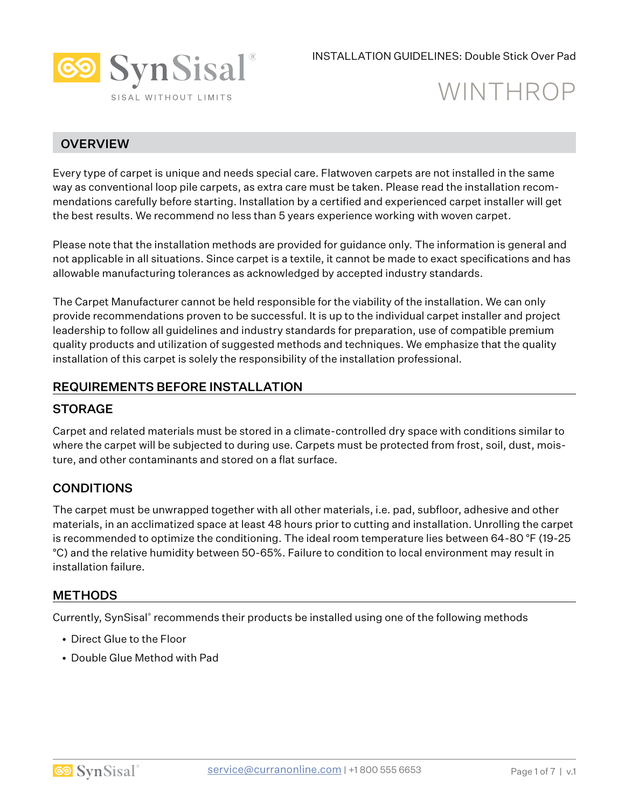

# WINTHROP

#### **OVERVIEW**

Every type of carpet is unique and needs special care. Flatwoven carpets are not installed in the same way as conventional loop pile carpets, as extra care must be taken. Please read the installation recommendations carefully before starting. Installation by a certified and experienced carpet installer will get the best results. We recommend no less than 5 years experience working with woven carpet.

Please note that the installation methods are provided for guidance only. The information is general and not applicable in all situations. Since carpet is a textile, it cannot be made to exact specifications and has allowable manufacturing tolerances as acknowledged by accepted industry standards.

The Carpet Manufacturer cannot be held responsible for the viability of the installation. We can only provide recommendations proven to be successful. It is up to the individual carpet installer and project leadership to follow all guidelines and industry standards for preparation, use of compatible premium quality products and utilization of suggested methods and techniques. We emphasize that the quality installation of this carpet is solely the responsibility of the installation professional.

#### REQUIREMENTS BEFORE INSTALLATION

#### **STORAGE**

Carpet and related materials must be stored in a climate-controlled dry space with conditions similar to where the carpet will be subjected to during use. Carpets must be protected from frost, soil, dust, moisture, and other contaminants and stored on a flat surface.

#### **CONDITIONS**

The carpet must be unwrapped together with all other materials, i.e. pad, subfloor, adhesive and other materials, in an acclimatized space at least 48 hours prior to cutting and installation. Unrolling the carpet is recommended to optimize the conditioning. The ideal room temperature lies between 64-80 °F (19-25 °C) and the relative humidity between 50-65%. Failure to condition to local environment may result in installation failure.

#### **METHODS**

Currently, SynSisal® recommends their products be installed using one of the following methods

- Direct Glue to the Floor
- Double Glue Method with Pad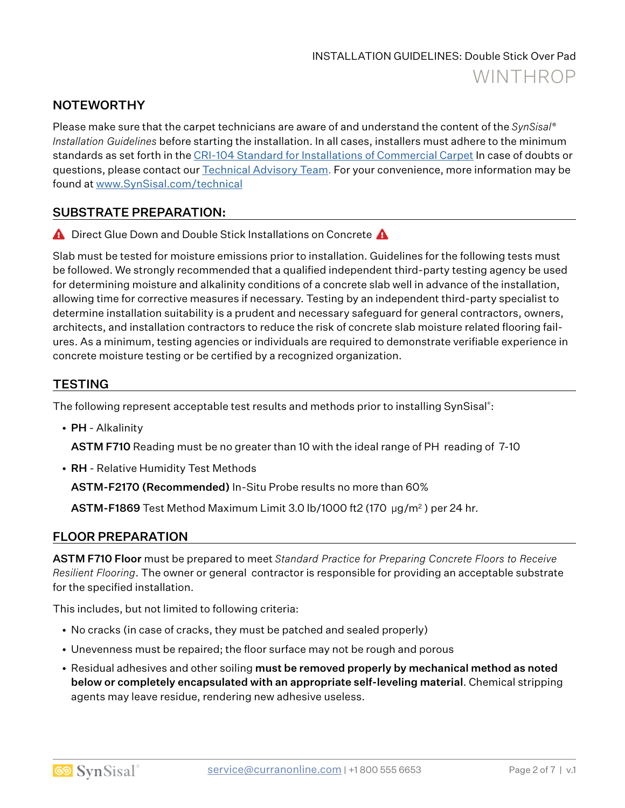## NOTEWORTHY

Please make sure that the carpet technicians are aware of and understand the content of the *SynSisal® Installation Guidelines* before starting the installation. In all cases, installers must adhere to the minimum standards as set forth in the CRI-104 Standard for Installations of Commercial Carpet In case of doubts or questions, please contact our Technical Advisory Team. For your convenience, more information may be found at www.SynSisal.com/technical

#### SUBSTRATE PREPARATION:

**A** Direct Glue Down and Double Stick Installations on Concrete A

Slab must be tested for moisture emissions prior to installation. Guidelines for the following tests must be followed. We strongly recommended that a qualified independent third-party testing agency be used for determining moisture and alkalinity conditions of a concrete slab well in advance of the installation, allowing time for corrective measures if necessary. Testing by an independent third-party specialist to determine installation suitability is a prudent and necessary safeguard for general contractors, owners, architects, and installation contractors to reduce the risk of concrete slab moisture related flooring failures. As a minimum, testing agencies or individuals are required to demonstrate verifiable experience in concrete moisture testing or be certified by a recognized organization.

## **TESTING**

The following represent acceptable test results and methods prior to installing SynSisal®:

• PH - Alkalinity

ASTM F710 Reading must be no greater than 10 with the ideal range of PH reading of 7-10

• RH - Relative Humidity Test Methods

ASTM-F2170 (Recommended) In-Situ Probe results no more than 60%

ASTM-F1869 Test Method Maximum Limit 3.0 lb/1000 ft2 (170 µg/m2 ) per 24 hr.

#### FLOOR PREPARATION

ASTM F710 Floor must be prepared to meet *Standard Practice for Preparing Concrete Floors to Receive Resilient Flooring*. The owner or general contractor is responsible for providing an acceptable substrate for the specified installation.

This includes, but not limited to following criteria:

- No cracks (in case of cracks, they must be patched and sealed properly)
- Unevenness must be repaired; the floor surface may not be rough and porous
- Residual adhesives and other soiling must be removed properly by mechanical method as noted below or completely encapsulated with an appropriate self-leveling material. Chemical stripping agents may leave residue, rendering new adhesive useless.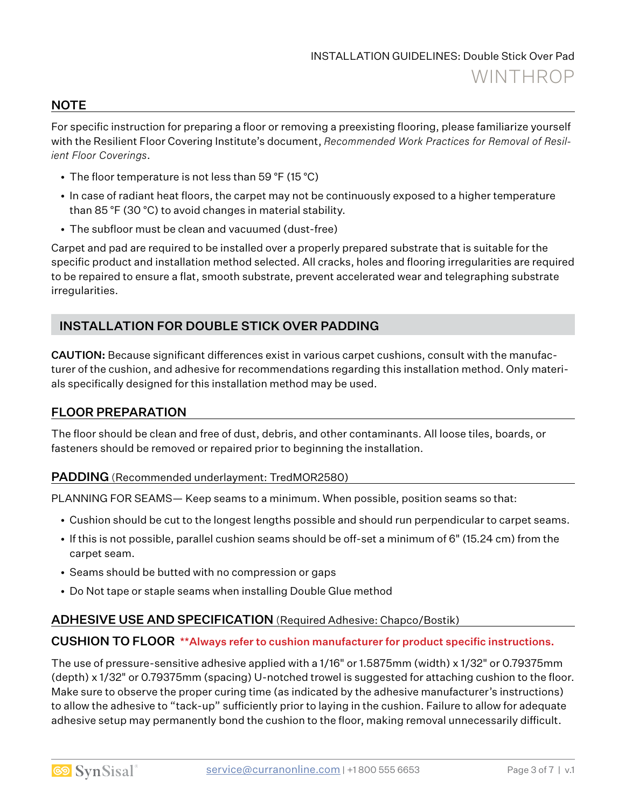#### **NOTE**

For specific instruction for preparing a floor or removing a preexisting flooring, please familiarize yourself with the Resilient Floor Covering Institute's document, *Recommended Work Practices for Removal of Resilient Floor Coverings*.

- The floor temperature is not less than 59 °F (15 °C)
- In case of radiant heat floors, the carpet may not be continuously exposed to a higher temperature than 85 °F (30 °C) to avoid changes in material stability.
- The subfloor must be clean and vacuumed (dust-free)

Carpet and pad are required to be installed over a properly prepared substrate that is suitable for the specific product and installation method selected. All cracks, holes and flooring irregularities are required to be repaired to ensure a flat, smooth substrate, prevent accelerated wear and telegraphing substrate irregularities.

## INSTALLATION FOR DOUBLE STICK OVER PADDING

CAUTION: Because significant differences exist in various carpet cushions, consult with the manufacturer of the cushion, and adhesive for recommendations regarding this installation method. Only materials specifically designed for this installation method may be used.

## FLOOR PREPARATION

The floor should be clean and free of dust, debris, and other contaminants. All loose tiles, boards, or fasteners should be removed or repaired prior to beginning the installation.

#### PADDING (Recommended underlayment: TredMOR2580)

PLANNING FOR SEAMS— Keep seams to a minimum. When possible, position seams so that:

- Cushion should be cut to the longest lengths possible and should run perpendicular to carpet seams.
- If this is not possible, parallel cushion seams should be off-set a minimum of 6" (15.24 cm) from the carpet seam.
- Seams should be butted with no compression or gaps
- Do Not tape or staple seams when installing Double Glue method

#### ADHESIVE USE AND SPECIFICATION (Required Adhesive: Chapco/Bostik)

#### CUSHION TO FLOOR \*\*Always refer to cushion manufacturer for product specific instructions.

The use of pressure-sensitive adhesive applied with a 1/16" or 1.5875mm (width) x 1/32" or 0.79375mm (depth) x 1/32" or 0.79375mm (spacing) U-notched trowel is suggested for attaching cushion to the floor. Make sure to observe the proper curing time (as indicated by the adhesive manufacturer's instructions) to allow the adhesive to "tack-up" sufficiently prior to laying in the cushion. Failure to allow for adequate adhesive setup may permanently bond the cushion to the floor, making removal unnecessarily difficult.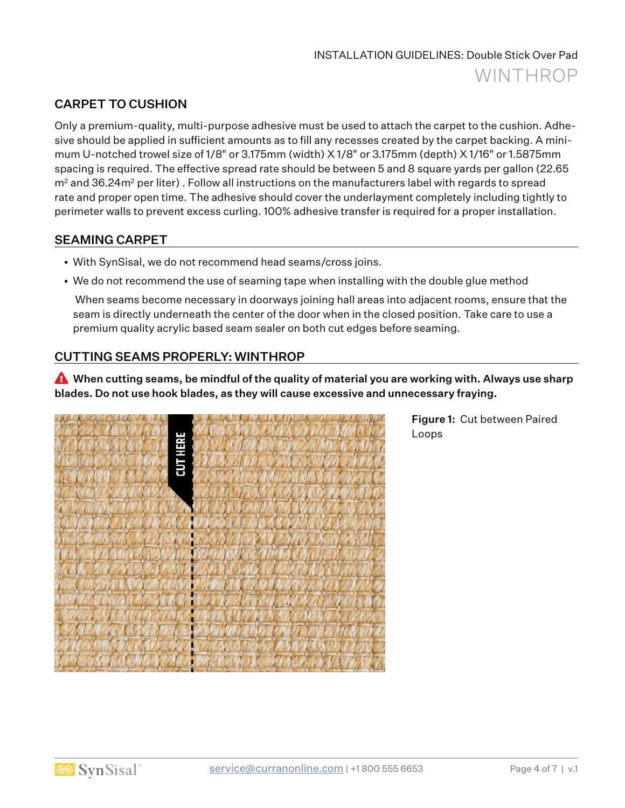## CARPET TO CUSHION

Only a premium-quality, multi-purpose adhesive must be used to attach the carpet to the cushion. Adhesive should be applied in sufficient amounts as to fill any recesses created by the carpet backing. A minimum U-notched trowel size of 1/8" or 3.175mm (width) X 1/8" or 3.175mm (depth) X 1/16" or 1.5875mm spacing is required. The effective spread rate should be between 5 and 8 square yards per gallon (22.65  $m<sup>2</sup>$  and 36.24 $m<sup>2</sup>$  per liter). Follow all instructions on the manufacturers label with regards to spread rate and proper open time. The adhesive should cover the underlayment completely including tightly to perimeter walls to prevent excess curling. 100% adhesive transfer is required for a proper installation.

#### SEAMING CARPET

- With SynSisal, we do not recommend head seams/cross joins.
- We do not recommend the use of seaming tape when installing with the double glue method

 When seams become necessary in doorways joining hall areas into adjacent rooms, ensure that the seam is directly underneath the center of the door when in the closed position. Take care to use a premium quality acrylic based seam sealer on both cut edges before seaming.

## CUTTING SEAMS PROPERLY: WINTHROP

A When cutting seams, be mindful of the quality of material you are working with. Always use sharp blades. Do not use hook blades, as they will cause excessive and unnecessary fraying.



Figure 1: Cut between Paired Loops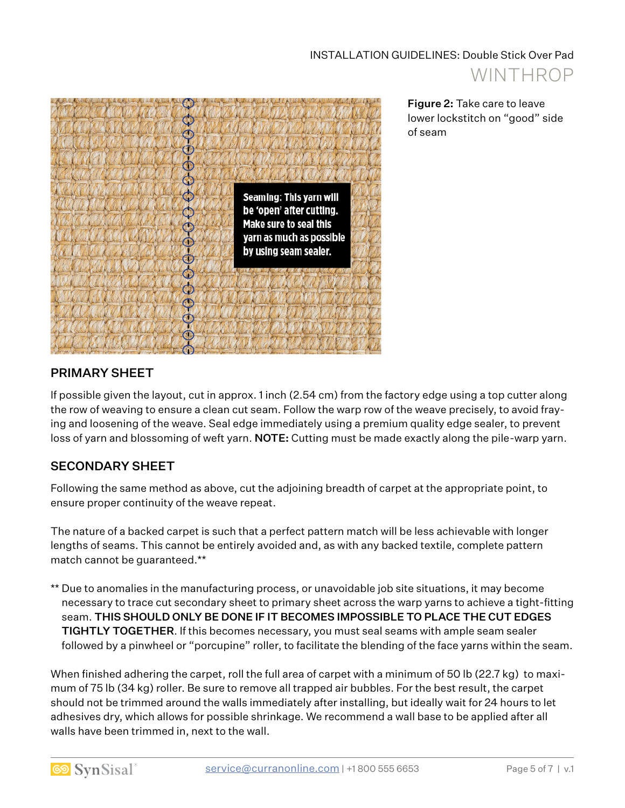

Figure 2: Take care to leave lower lockstitch on "good" side of seam

## PRIMARY SHEET

If possible given the layout, cut in approx. 1 inch (2.54 cm) from the factory edge using a top cutter along the row of weaving to ensure a clean cut seam. Follow the warp row of the weave precisely, to avoid fraying and loosening of the weave. Seal edge immediately using a premium quality edge sealer, to prevent loss of yarn and blossoming of weft yarn. NOTE: Cutting must be made exactly along the pile-warp yarn.

## SECONDARY SHEET

Following the same method as above, cut the adjoining breadth of carpet at the appropriate point, to ensure proper continuity of the weave repeat.

The nature of a backed carpet is such that a perfect pattern match will be less achievable with longer lengths of seams. This cannot be entirely avoided and, as with any backed textile, complete pattern match cannot be guaranteed.\*\*

\*\* Due to anomalies in the manufacturing process, or unavoidable job site situations, it may become necessary to trace cut secondary sheet to primary sheet across the warp yarns to achieve a tight-fitting seam. THIS SHOULD ONLY BE DONE IF IT BECOMES IMPOSSIBLE TO PLACE THE CUT EDGES TIGHTLY TOGETHER. If this becomes necessary, you must seal seams with ample seam sealer followed by a pinwheel or "porcupine" roller, to facilitate the blending of the face yarns within the seam.

When finished adhering the carpet, roll the full area of carpet with a minimum of 50 lb (22.7 kg) to maximum of 75 lb (34 kg) roller. Be sure to remove all trapped air bubbles. For the best result, the carpet should not be trimmed around the walls immediately after installing, but ideally wait for 24 hours to let adhesives dry, which allows for possible shrinkage. We recommend a wall base to be applied after all walls have been trimmed in, next to the wall.

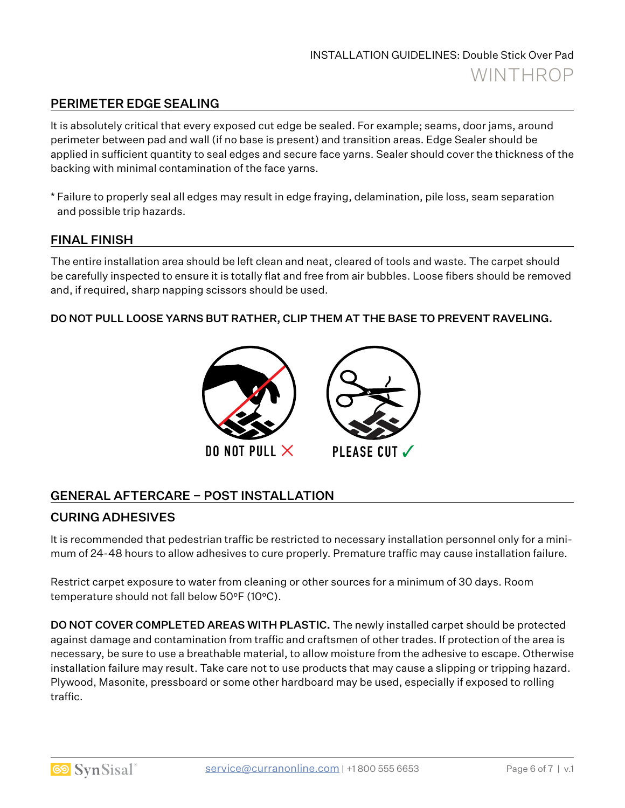## PERIMETER EDGE SEALING

It is absolutely critical that every exposed cut edge be sealed. For example; seams, door jams, around perimeter between pad and wall (if no base is present) and transition areas. Edge Sealer should be applied in sufficient quantity to seal edges and secure face yarns. Sealer should cover the thickness of the backing with minimal contamination of the face yarns.

\* Failure to properly seal all edges may result in edge fraying, delamination, pile loss, seam separation and possible trip hazards.

#### FINAL FINISH

The entire installation area should be left clean and neat, cleared of tools and waste. The carpet should be carefully inspected to ensure it is totally flat and free from air bubbles. Loose fibers should be removed and, if required, sharp napping scissors should be used.

#### DO NOT PULL LOOSE YARNS BUT RATHER, CLIP THEM AT THE BASE TO PREVENT RAVELING.



## GENERAL AFTERCARE – POST INSTALLATION

#### CURING ADHESIVES

It is recommended that pedestrian traffic be restricted to necessary installation personnel only for a minimum of 24-48 hours to allow adhesives to cure properly. Premature traffic may cause installation failure.

Restrict carpet exposure to water from cleaning or other sources for a minimum of 30 days. Room temperature should not fall below 50°F (10°C).

**DO NOT COVER COMPLETED AREAS WITH PLASTIC.** The newly installed carpet should be protected against damage and contamination from traffic and craftsmen of other trades. If protection of the area is necessary, be sure to use a breathable material, to allow moisture from the adhesive to escape. Otherwise installation failure may result. Take care not to use products that may cause a slipping or tripping hazard. Plywood, Masonite, pressboard or some other hardboard may be used, especially if exposed to rolling traffic.